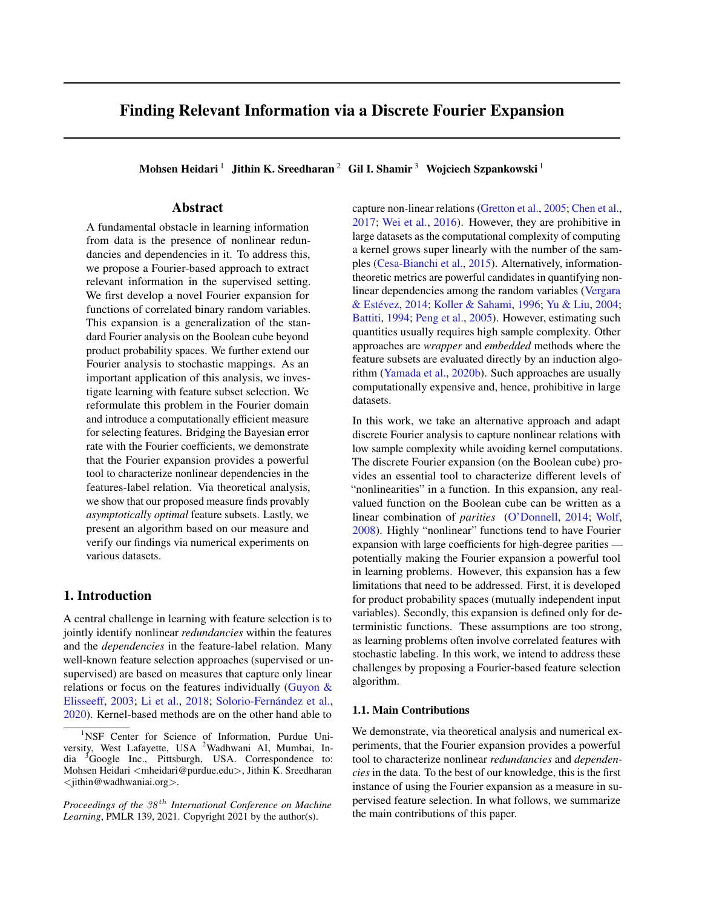# Finding Relevant Information via a Discrete Fourier Expansion

Mohsen Heidari<sup>1</sup> Jithin K. Sreedharan<sup>2</sup> Gil I. Shamir<sup>3</sup> Wojciech Szpankowski<sup>1</sup>

### Abstract

A fundamental obstacle in learning information from data is the presence of nonlinear redundancies and dependencies in it. To address this, we propose a Fourier-based approach to extract relevant information in the supervised setting. We first develop a novel Fourier expansion for functions of correlated binary random variables. This expansion is a generalization of the standard Fourier analysis on the Boolean cube beyond product probability spaces. We further extend our Fourier analysis to stochastic mappings. As an important application of this analysis, we investigate learning with feature subset selection. We reformulate this problem in the Fourier domain and introduce a computationally efficient measure for selecting features. Bridging the Bayesian error rate with the Fourier coefficients, we demonstrate that the Fourier expansion provides a powerful tool to characterize nonlinear dependencies in the features-label relation. Via theoretical analysis, we show that our proposed measure finds provably *asymptotically optimal* feature subsets. Lastly, we present an algorithm based on our measure and verify our findings via numerical experiments on various datasets.

### 1. Introduction

A central challenge in learning with feature selection is to jointly identify nonlinear *redundancies* within the features and the *dependencies* in the feature-label relation. Many well-known feature selection approaches (supervised or unsupervised) are based on measures that capture only linear relations or focus on the features individually [\(Guyon &](#page-9-0) [Elisseeff,](#page-9-0) [2003;](#page-9-0) [Li et al.,](#page-9-1) [2018;](#page-9-1) Solorio-Fernández et al., [2020\)](#page-10-0). Kernel-based methods are on the other hand able to

capture non-linear relations [\(Gretton et al.,](#page-9-2) [2005;](#page-9-2) [Chen et al.,](#page-9-3) [2017;](#page-9-3) [Wei et al.,](#page-10-1) [2016\)](#page-10-1). However, they are prohibitive in large datasets as the computational complexity of computing a kernel grows super linearly with the number of the samples [\(Cesa-Bianchi et al.,](#page-9-4) [2015\)](#page-9-4). Alternatively, informationtheoretic metrics are powerful candidates in quantifying nonlinear dependencies among the random variables [\(Vergara](#page-10-2) & Estévez, [2014;](#page-10-2) [Koller & Sahami,](#page-9-5) [1996;](#page-9-5) [Yu & Liu,](#page-10-3) [2004;](#page-10-3) [Battiti,](#page-9-6) [1994;](#page-9-6) [Peng et al.,](#page-10-4) [2005\)](#page-10-4). However, estimating such quantities usually requires high sample complexity. Other approaches are *wrapper* and *embedded* methods where the feature subsets are evaluated directly by an induction algorithm [\(Yamada et al.,](#page-10-5) [2020b\)](#page-10-5). Such approaches are usually computationally expensive and, hence, prohibitive in large datasets.

In this work, we take an alternative approach and adapt discrete Fourier analysis to capture nonlinear relations with low sample complexity while avoiding kernel computations. The discrete Fourier expansion (on the Boolean cube) provides an essential tool to characterize different levels of "nonlinearities" in a function. In this expansion, any realvalued function on the Boolean cube can be written as a linear combination of *parities* [\(O'Donnell,](#page-10-6) [2014;](#page-10-6) [Wolf,](#page-10-7) [2008\)](#page-10-7). Highly "nonlinear" functions tend to have Fourier expansion with large coefficients for high-degree parities potentially making the Fourier expansion a powerful tool in learning problems. However, this expansion has a few limitations that need to be addressed. First, it is developed for product probability spaces (mutually independent input variables). Secondly, this expansion is defined only for deterministic functions. These assumptions are too strong, as learning problems often involve correlated features with stochastic labeling. In this work, we intend to address these challenges by proposing a Fourier-based feature selection algorithm.

#### 1.1. Main Contributions

We demonstrate, via theoretical analysis and numerical experiments, that the Fourier expansion provides a powerful tool to characterize nonlinear *redundancies* and *dependencies* in the data. To the best of our knowledge, this is the first instance of using the Fourier expansion as a measure in supervised feature selection. In what follows, we summarize the main contributions of this paper.

<sup>&</sup>lt;sup>1</sup>NSF Center for Science of Information, Purdue University, West Lafayette, USA <sup>2</sup>Wadhwani AI, Mumbai, India <sup>3</sup>Google Inc., Pittsburgh, USA. Correspondence to: Mohsen Heidari <mheidari@purdue.edu>, Jithin K. Sreedharan  $\leq$ jithin@wadhwaniai.org $>$ .

*Proceedings of the*  $38<sup>th</sup>$  *International Conference on Machine Learning*, PMLR 139, 2021. Copyright 2021 by the author(s).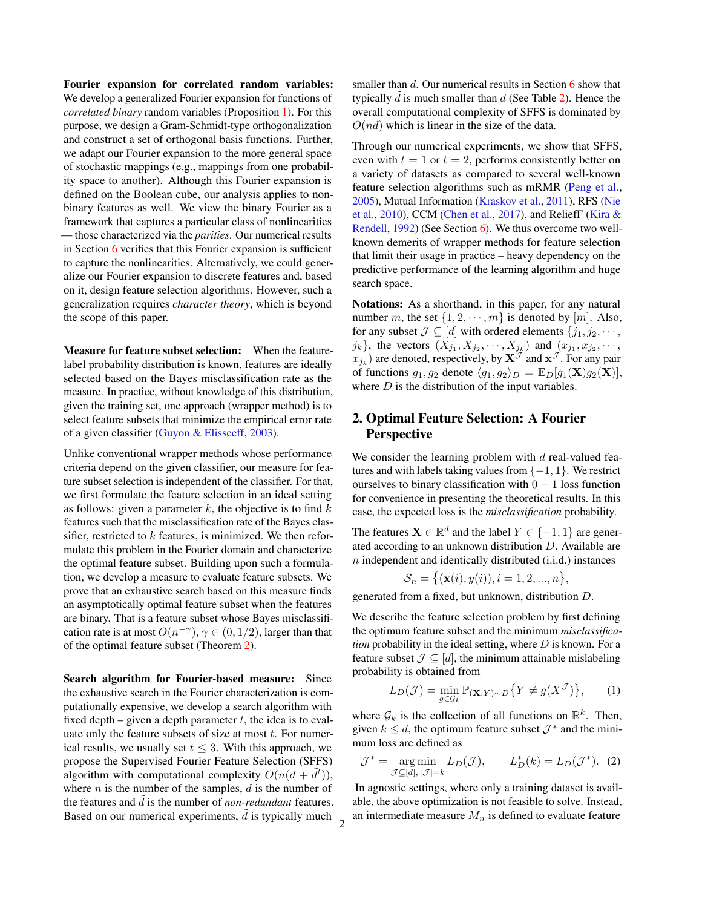Fourier expansion for correlated random variables: We develop a generalized Fourier expansion for functions of *correlated binary* random variables (Proposition [1\)](#page-2-0). For this purpose, we design a Gram-Schmidt-type orthogonalization and construct a set of orthogonal basis functions. Further, we adapt our Fourier expansion to the more general space of stochastic mappings (e.g., mappings from one probability space to another). Although this Fourier expansion is defined on the Boolean cube, our analysis applies to nonbinary features as well. We view the binary Fourier as a framework that captures a particular class of nonlinearities — those characterized via the *parities*. Our numerical results in Section [6](#page-6-0) verifies that this Fourier expansion is sufficient to capture the nonlinearities. Alternatively, we could generalize our Fourier expansion to discrete features and, based on it, design feature selection algorithms. However, such a generalization requires *character theory*, which is beyond the scope of this paper.

Measure for feature subset selection: When the featurelabel probability distribution is known, features are ideally selected based on the Bayes misclassification rate as the measure. In practice, without knowledge of this distribution, given the training set, one approach (wrapper method) is to select feature subsets that minimize the empirical error rate of a given classifier [\(Guyon & Elisseeff,](#page-9-0) [2003\)](#page-9-0).

Unlike conventional wrapper methods whose performance criteria depend on the given classifier, our measure for feature subset selection is independent of the classifier. For that, we first formulate the feature selection in an ideal setting as follows: given a parameter  $k$ , the objective is to find  $k$ features such that the misclassification rate of the Bayes classifier, restricted to  $k$  features, is minimized. We then reformulate this problem in the Fourier domain and characterize the optimal feature subset. Building upon such a formulation, we develop a measure to evaluate feature subsets. We prove that an exhaustive search based on this measure finds an asymptotically optimal feature subset when the features are binary. That is a feature subset whose Bayes misclassification rate is at most  $O(n^{-\gamma})$ ,  $\gamma \in (0, 1/2)$ , larger than that of the optimal feature subset (Theorem [2\)](#page-4-0).

Search algorithm for Fourier-based measure: Since the exhaustive search in the Fourier characterization is computationally expensive, we develop a search algorithm with fixed depth – given a depth parameter  $t$ , the idea is to evaluate only the feature subsets of size at most  $t$ . For numerical results, we usually set  $t \leq 3$ . With this approach, we propose the Supervised Fourier Feature Selection (SFFS) algorithm with computational complexity  $O(n(d + \tilde{d}^t)),$ where  $n$  is the number of the samples,  $d$  is the number of the features and  $\tilde{d}$  is the number of *non-redundant* features. Based on our numerical experiments,  $\tilde{d}$  is typically much  $\frac{2}{3}$  smaller than  $d$ . Our numerical results in Section [6](#page-6-0) show that typically  $d$  is much smaller than  $d$  (See Table [2\)](#page-7-0). Hence the overall computational complexity of SFFS is dominated by  $O(nd)$  which is linear in the size of the data.

Through our numerical experiments, we show that SFFS, even with  $t = 1$  or  $t = 2$ , performs consistently better on a variety of datasets as compared to several well-known feature selection algorithms such as mRMR [\(Peng et al.,](#page-10-4) [2005\)](#page-10-4), Mutual Information [\(Kraskov et al.,](#page-9-7) [2011\)](#page-9-7), RFS [\(Nie](#page-10-8) [et al.,](#page-10-8) [2010\)](#page-10-8), CCM [\(Chen et al.,](#page-9-3) [2017\)](#page-9-3), and ReliefF [\(Kira &](#page-9-8) [Rendell,](#page-9-8) [1992\)](#page-9-8) (See Section [6\)](#page-6-0). We thus overcome two wellknown demerits of wrapper methods for feature selection that limit their usage in practice – heavy dependency on the predictive performance of the learning algorithm and huge search space.

Notations: As a shorthand, in this paper, for any natural number m, the set  $\{1, 2, \dots, m\}$  is denoted by  $[m]$ . Also, for any subset  $\mathcal{J} \subseteq [d]$  with ordered elements  $\{j_1, j_2, \cdots, j_k\}$  $j_k$ , the vectors  $(X_{j_1}, X_{j_2}, \dots, X_{j_k})$  and  $(x_{j_1}, x_{j_2}, \dots, x_{j_k})$  $x_{j_k}$ ) are denoted, respectively, by  $\mathbf{X}^{\mathcal{J}}$  and  $\mathbf{x}^{\mathcal{J}}$ . For any pair of functions  $g_1, g_2$  denote  $\langle g_1, g_2 \rangle_D = \mathbb{E}_D[g_1(\mathbf{X})g_2(\mathbf{X})],$ where  $D$  is the distribution of the input variables.

# <span id="page-1-1"></span>2. Optimal Feature Selection: A Fourier Perspective

We consider the learning problem with  $d$  real-valued features and with labels taking values from  $\{-1, 1\}$ . We restrict ourselves to binary classification with  $0 - 1$  loss function for convenience in presenting the theoretical results. In this case, the expected loss is the *misclassification* probability.

The features  $\mathbf{X} \in \mathbb{R}^d$  and the label  $Y \in \{-1, 1\}$  are generated according to an unknown distribution D. Available are  $n$  independent and identically distributed (i.i.d.) instances

$$
S_n = \{ (\mathbf{x}(i), y(i)), i = 1, 2, ..., n \}
$$

<span id="page-1-0"></span>,

generated from a fixed, but unknown, distribution D.

We describe the feature selection problem by first defining the optimum feature subset and the minimum *misclassification* probability in the ideal setting, where D is known. For a feature subset  $\mathcal{J} \subseteq [d]$ , the minimum attainable mislabeling probability is obtained from

$$
L_D(\mathcal{J}) = \min_{g \in \mathcal{G}_k} \mathbb{P}_{(\mathbf{X}, Y) \sim D} \{ Y \neq g(X^{\mathcal{J}}) \}, \qquad (1)
$$

where  $\mathcal{G}_k$  is the collection of all functions on  $\mathbb{R}^k$ . Then, given  $k \leq d$ , the optimum feature subset  $\mathcal{J}^*$  and the minimum loss are defined as

$$
\mathcal{J}^* = \underset{\mathcal{J} \subseteq [d], |\mathcal{J}| = k}{\arg \min} L_D(\mathcal{J}), \qquad L_D^*(k) = L_D(\mathcal{J}^*). \tag{2}
$$

In agnostic settings, where only a training dataset is available, the above optimization is not feasible to solve. Instead, an intermediate measure  $M_n$  is defined to evaluate feature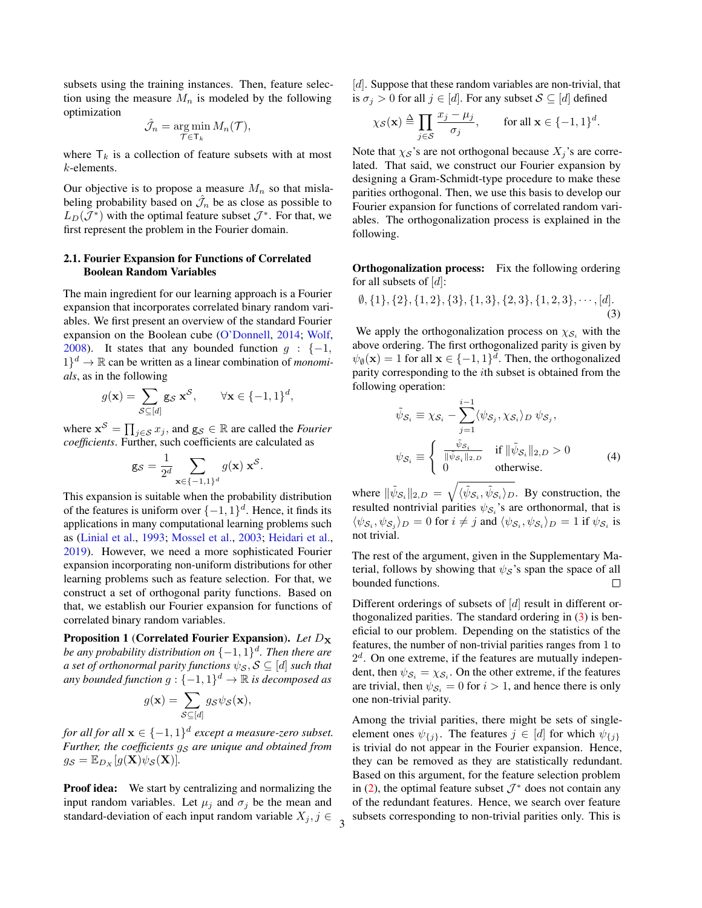subsets using the training instances. Then, feature selection using the measure  $M_n$  is modeled by the following optimization

$$
\hat{\mathcal{J}}_n = \operatorname*{arg\,min}_{\mathcal{T} \in \mathsf{T}_k} M_n(\mathcal{T}),
$$

where  $\mathsf{T}_k$  is a collection of feature subsets with at most k-elements.

Our objective is to propose a measure  $M_n$  so that mislabeling probability based on  $\hat{\mathcal{J}}_n$  be as close as possible to  $L_D(\mathcal{J}^*)$  with the optimal feature subset  $\mathcal{J}^*$ . For that, we first represent the problem in the Fourier domain.

### 2.1. Fourier Expansion for Functions of Correlated Boolean Random Variables

The main ingredient for our learning approach is a Fourier expansion that incorporates correlated binary random variables. We first present an overview of the standard Fourier expansion on the Boolean cube [\(O'Donnell,](#page-10-6) [2014;](#page-10-6) [Wolf,](#page-10-7) [2008\)](#page-10-7). It states that any bounded function  $g : \{-1,$  $1$ <sup>d</sup>  $\rightarrow \mathbb{R}$  can be written as a linear combination of *monomials*, as in the following

$$
g(\mathbf{x}) = \sum_{\mathcal{S} \subseteq [d]} \mathbf{g}_{\mathcal{S}} \mathbf{x}^{\mathcal{S}}, \qquad \forall \mathbf{x} \in \{-1, 1\}^d,
$$

where  $\mathbf{x}^{\mathcal{S}} = \prod_{j \in \mathcal{S}} x_j$ , and  $\mathbf{g}_{\mathcal{S}} \in \mathbb{R}$  are called the *Fourier coefficients*. Further, such coefficients are calculated as

$$
\mathbf{g}_{\mathcal{S}} = \frac{1}{2^d} \sum_{\mathbf{x} \in \{-1,1\}^d} g(\mathbf{x}) \mathbf{x}^{\mathcal{S}}.
$$

This expansion is suitable when the probability distribution of the features is uniform over  $\{-1,1\}^d$ . Hence, it finds its applications in many computational learning problems such as [\(Linial et al.,](#page-9-9) [1993;](#page-9-9) [Mossel et al.,](#page-9-10) [2003;](#page-9-10) [Heidari et al.,](#page-9-11) [2019\)](#page-9-11). However, we need a more sophisticated Fourier expansion incorporating non-uniform distributions for other learning problems such as feature selection. For that, we construct a set of orthogonal parity functions. Based on that, we establish our Fourier expansion for functions of correlated binary random variables.

<span id="page-2-0"></span>Proposition 1 (Correlated Fourier Expansion). *Let*  $D_X$ *be any probability distribution on*  ${-1, 1}$ <sup>*d</sup>. Then there are*</sup> *a set of orthonormal parity functions*  $\psi_{\mathcal{S}}, \mathcal{S} \subseteq [d]$  *such that any bounded function*  $g: \{-1,1\}^d \to \mathbb{R}$  *is decomposed as* 

$$
g(\mathbf{x}) = \sum_{\mathcal{S} \subseteq [d]} g_{\mathcal{S}} \psi_{\mathcal{S}}(\mathbf{x}),
$$

*for all for all*  $\mathbf{x} \in \{-1, 1\}^d$  except a measure-zero subset. *Further, the coefficients*  $g_S$  *are unique and obtained from*  $g_{\mathcal{S}} = \mathbb{E}_{D_X}[g(\mathbf{X})\psi_{\mathcal{S}}(\mathbf{X})].$ 

**Proof idea:** We start by centralizing and normalizing the input random variables. Let  $\mu_j$  and  $\sigma_j$  be the mean and standard-deviation of each input random variable  $X_j, j \in \mathcal{S}$ 

 $[d]$ . Suppose that these random variables are non-trivial, that is  $\sigma_j > 0$  for all  $j \in [d]$ . For any subset  $S \subseteq [d]$  defined

$$
\chi_{\mathcal{S}}(\mathbf{x}) \stackrel{\Delta}{=} \prod_{j \in \mathcal{S}} \frac{x_j - \mu_j}{\sigma_j}, \quad \text{for all } \mathbf{x} \in \{-1, 1\}^d.
$$

Note that  $\chi_{\mathcal{S}}$ 's are not orthogonal because  $X_j$ 's are correlated. That said, we construct our Fourier expansion by designing a Gram-Schmidt-type procedure to make these parities orthogonal. Then, we use this basis to develop our Fourier expansion for functions of correlated random variables. The orthogonalization process is explained in the following.

**Orthogonalization process:** Fix the following ordering for all subsets of  $[d]$ :

$$
\emptyset, \{1\}, \{2\}, \{1, 2\}, \{3\}, \{1, 3\}, \{2, 3\}, \{1, 2, 3\}, \cdots, [d].
$$
\n(3)

We apply the orthogonalization process on  $\chi_{\mathcal{S}_i}$  with the above ordering. The first orthogonalized parity is given by  $\psi_{\emptyset}(\mathbf{x}) = 1$  for all  $\mathbf{x} \in \{-1, 1\}^d$ . Then, the orthogonalized parity corresponding to the ith subset is obtained from the following operation:

<span id="page-2-2"></span><span id="page-2-1"></span>
$$
\tilde{\psi}_{S_i} \equiv \chi_{S_i} - \sum_{j=1}^{i-1} \langle \psi_{S_j}, \chi_{S_i} \rangle_D \psi_{S_j},
$$
\n
$$
\psi_{S_i} \equiv \begin{cases}\n\frac{\tilde{\psi}_{S_i}}{\|\tilde{\psi}_{S_i}\|_{2,D}} & \text{if } \|\tilde{\psi}_{S_i}\|_{2,D} > 0 \\
0 & \text{otherwise.} \n\end{cases}
$$
\n(4)

where  $\|\tilde{\psi}_{S_i}\|_{2,D} = \sqrt{\langle \tilde{\psi}_{S_i}, \tilde{\psi}_{S_i} \rangle_D}$ . By construction, the resulted nontrivial parities  $\psi_{\mathcal{S}_i}$ 's are orthonormal, that is  $\langle \psi_{\mathcal{S}_i}, \psi_{\mathcal{S}_j} \rangle_D = 0$  for  $i \neq j$  and  $\langle \psi_{\mathcal{S}_i}, \psi_{\mathcal{S}_i} \rangle_D = 1$  if  $\psi_{\mathcal{S}_i}$  is not trivial.

The rest of the argument, given in the Supplementary Material, follows by showing that  $\psi_{\mathcal{S}}$ 's span the space of all bounded functions.  $\Box$ 

Different orderings of subsets of [d] result in different orthogonalized parities. The standard ordering in [\(3\)](#page-2-1) is beneficial to our problem. Depending on the statistics of the features, the number of non-trivial parities ranges from 1 to  $2<sup>d</sup>$ . On one extreme, if the features are mutually independent, then  $\psi_{\mathcal{S}_i} = \chi_{\mathcal{S}_i}$ . On the other extreme, if the features are trivial, then  $\psi_{\mathcal{S}_i} = 0$  for  $i > 1$ , and hence there is only one non-trivial parity.

Among the trivial parities, there might be sets of singleelement ones  $\psi_{\{j\}}$ . The features  $j \in [d]$  for which  $\psi_{\{j\}}$ is trivial do not appear in the Fourier expansion. Hence, they can be removed as they are statistically redundant. Based on this argument, for the feature selection problem in [\(2\)](#page-1-0), the optimal feature subset  $\mathcal{J}^*$  does not contain any of the redundant features. Hence, we search over feature subsets corresponding to non-trivial parities only. This is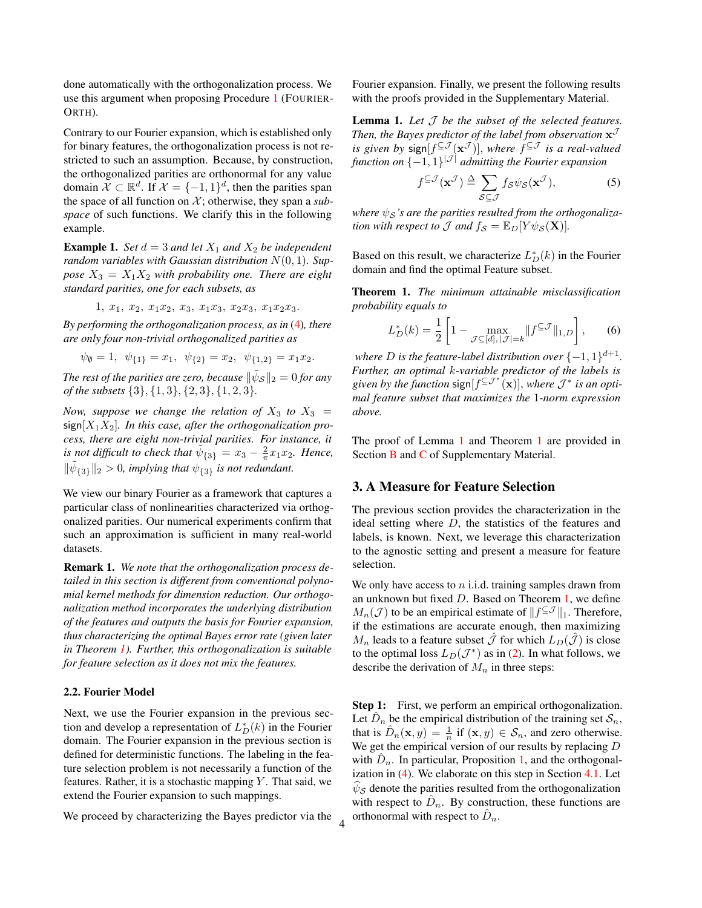done automatically with the orthogonalization process. We use this argument when proposing Procedure [1](#page-5-0) (FOURIER-ORTH).

Contrary to our Fourier expansion, which is established only for binary features, the orthogonalization process is not restricted to such an assumption. Because, by construction, the orthogonalized parities are orthonormal for any value domain  $\mathcal{X} \subset \mathbb{R}^d$ . If  $\mathcal{X} = \{-1, 1\}^d$ , then the parities span the space of all function on  $X$ ; otherwise, they span a *subspace* of such functions. We clarify this in the following example.

**Example 1.** *Set*  $d = 3$  *and let*  $X_1$  *and*  $X_2$  *be independent random variables with Gaussian distribution* N(0, 1)*. Suppose*  $X_3 = X_1 X_2$  *with probability one. There are eight standard parities, one for each subsets, as*

$$
1, x_1, x_2, x_1x_2, x_3, x_1x_3, x_2x_3, x_1x_2x_3.
$$

*By performing the orthogonalization process, as in* [\(4\)](#page-2-2)*, there are only four non-trivial orthogonalized parities as*

$$
\psi_{\emptyset} = 1, \ \psi_{\{1\}} = x_1, \ \psi_{\{2\}} = x_2, \ \psi_{\{1,2\}} = x_1 x_2.
$$

The rest of the parities are zero, because  $\| \tilde{\psi}_{\mathcal{S}} \|_2 = 0$  for any *of the subsets* {3}, {1, 3}, {2, 3}, {1, 2, 3}*.*

*Now, suppose we change the relation of*  $X_3$  *to*  $X_3$  =  $sign[X_1X_2]$ *. In this case, after the orthogonalization process, there are eight non-trivial parities. For instance, it is not difficult to check that*  $\tilde{\psi}_{\{3\}} = x_3 - \frac{2}{\pi}x_1x_2$ . Hence,  $\|\tilde{\psi}_{\{3\}}\|_2 > 0$ , *implying that*  $\psi_{\{3\}}$  *is not redundant.* 

We view our binary Fourier as a framework that captures a particular class of nonlinearities characterized via orthogonalized parities. Our numerical experiments confirm that such an approximation is sufficient in many real-world datasets.

Remark 1. *We note that the orthogonalization process detailed in this section is different from conventional polynomial kernel methods for dimension reduction. Our orthogonalization method incorporates the underlying distribution of the features and outputs the basis for Fourier expansion, thus characterizing the optimal Bayes error rate (given later in Theorem [1\)](#page-3-0). Further, this orthogonalization is suitable for feature selection as it does not mix the features.*

#### 2.2. Fourier Model

Next, we use the Fourier expansion in the previous section and develop a representation of  $L_D^*(k)$  in the Fourier domain. The Fourier expansion in the previous section is defined for deterministic functions. The labeling in the feature selection problem is not necessarily a function of the features. Rather, it is a stochastic mapping  $Y$ . That said, we extend the Fourier expansion to such mappings.

We proceed by characterizing the Bayes predictor via the

4

Fourier expansion. Finally, we present the following results with the proofs provided in the Supplementary Material.

<span id="page-3-1"></span>Lemma 1. *Let* J *be the subset of the selected features.* Then, the Bayes predictor of the label from observation  $\mathbf{x}^{\mathcal{J}}$ *is given by*  $sign[f^{\subseteq J}(x^J)]$ , *where*  $f^{\subseteq J}$  *is a real-valued function on* {−1, 1} |J | *admitting the Fourier expansion*

<span id="page-3-3"></span>
$$
f^{\subseteq \mathcal{J}}(\mathbf{x}^{\mathcal{J}}) \triangleq \sum_{\mathcal{S} \subseteq \mathcal{J}} f_{\mathcal{S}} \psi_{\mathcal{S}}(\mathbf{x}^{\mathcal{J}}),
$$
 (5)

where  $\psi_{\mathcal{S}}$ 's are the parities resulted from the orthogonaliza*tion with respect to*  $\mathcal{J}$  *and*  $f_{\mathcal{S}} = \mathbb{E}_D[Y \psi_{\mathcal{S}}(\mathbf{X})]$ *.* 

Based on this result, we characterize  $L_D^*(k)$  in the Fourier domain and find the optimal Feature subset.

<span id="page-3-0"></span>Theorem 1. *The minimum attainable misclassification probability equals to*

<span id="page-3-4"></span>
$$
L_D^*(k) = \frac{1}{2} \left[ 1 - \max_{\mathcal{J} \subseteq [d], |\mathcal{J}| = k} \| f^{\subseteq \mathcal{J}} \|_{1,D} \right],\qquad(6)
$$

where  $D$  is the feature-label distribution over  $\{-1,1\}^{d+1}$ . *Further, an optimal* k*-variable predictor of the labels is* given by the function  $\text{sign}[f^{\subseteq J^*}(\mathbf{x})]$ , where  $J^*$  is an opti*mal feature subset that maximizes the* 1*-norm expression above.*

The proof of Lemma [1](#page-3-0) and Theorem 1 are provided in Section **[B](#page-1-1)** and **[C](#page-3-2)** of Supplementary Material.

### <span id="page-3-2"></span>3. A Measure for Feature Selection

The previous section provides the characterization in the ideal setting where D, the statistics of the features and labels, is known. Next, we leverage this characterization to the agnostic setting and present a measure for feature selection.

We only have access to  $n$  i.i.d. training samples drawn from an unknown but fixed  $D$ . Based on Theorem [1,](#page-3-0) we define  $M_n(\mathcal{J})$  to be an empirical estimate of  $||f^{\subseteq \mathcal{J}}||_1$ . Therefore, if the estimations are accurate enough, then maximizing  $M_n$  leads to a feature subset  $\hat{\mathcal{J}}$  for which  $L_D(\hat{\mathcal{J}})$  is close to the optimal loss  $L_D(\mathcal{J}^*)$  as in [\(2\)](#page-1-0). In what follows, we describe the derivation of  $M_n$  in three steps:

Step 1: First, we perform an empirical orthogonalization. Let  $\hat{D}_n$  be the empirical distribution of the training set  $\mathcal{S}_n$ , that is  $\hat{D}_n(\mathbf{x}, y) = \frac{1}{n}$  if  $(\mathbf{x}, y) \in \mathcal{S}_n$ , and zero otherwise. We get the empirical version of our results by replacing D with  $\hat{D}_n$ . In particular, Proposition [1,](#page-2-0) and the orthogonalization in [\(4\)](#page-2-2). We elaborate on this step in Section [4.1.](#page-4-1) Let  $\widehat{\psi}_{\mathcal{S}}$  denote the parities resulted from the orthogonalization with respect to  $\hat{D}_n$ . By construction, these functions are orthonormal with respect to  $\hat{D}_n$ .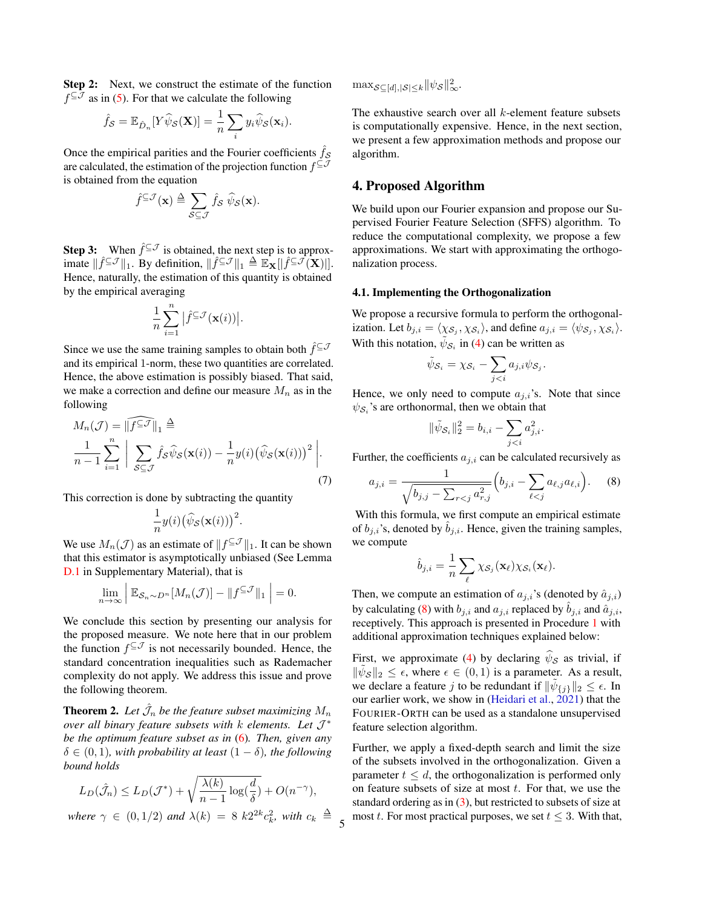Step 2: Next, we construct the estimate of the function  $f^{\subseteq J}$  as in [\(5\)](#page-3-3). For that we calculate the following

$$
\hat{f}_{\mathcal{S}} = \mathbb{E}_{\hat{D}_n}[Y\widehat{\psi}_{\mathcal{S}}(\mathbf{X})] = \frac{1}{n}\sum_i y_i \widehat{\psi}_{\mathcal{S}}(\mathbf{x}_i).
$$

Once the empirical parities and the Fourier coefficients  $\hat{f}_{\mathcal{S}}$ are calculated, the estimation of the projection function  $f^{\subseteq J}$ is obtained from the equation

$$
\hat{f}^{\subseteq \mathcal{J}}(\mathbf{x}) \triangleq \sum_{\mathcal{S} \subseteq \mathcal{J}} \hat{f}_{\mathcal{S}} \hat{\psi}_{\mathcal{S}}(\mathbf{x}).
$$

**Step 3:** When  $\hat{f} \subseteq \mathcal{J}$  is obtained, the next step is to approximate  $\|\hat{f}^{\subseteq} \mathcal{J}\|_1$ . By definition,  $\|\hat{f}^{\subseteq} \mathcal{J}\|_1 \triangleq \mathbb{E}_{\mathbf{X}}[|\hat{f}^{\subseteq} \mathcal{J}(\mathbf{X})|].$ Hence, naturally, the estimation of this quantity is obtained by the empirical averaging

$$
\frac{1}{n}\sum_{i=1}^n\big|\widehat{f}^{\subseteq\mathcal{J}}(\mathbf{x}(i))\big|.
$$

Since we use the same training samples to obtain both  $\hat{f}^{\subseteq J}$ and its empirical 1-norm, these two quantities are correlated. Hence, the above estimation is possibly biased. That said, we make a correction and define our measure  $M_n$  as in the following

$$
M_n(\mathcal{J}) = \|\widehat{f^{\subseteq \mathcal{J}}}\|_1 \stackrel{\triangle}{=} \frac{1}{n-1} \sum_{i=1}^n \left| \sum_{\mathcal{S} \subseteq \mathcal{J}} \widehat{f}_{\mathcal{S}} \widehat{\psi}_{\mathcal{S}}(\mathbf{x}(i)) - \frac{1}{n} y(i) (\widehat{\psi}_{\mathcal{S}}(\mathbf{x}(i)))^2 \right|.
$$
\n(7)

This correction is done by subtracting the quantity

$$
\frac{1}{n}y(i)\big(\widehat{\psi}_{\mathcal{S}}(\mathbf{x}(i))\big)^2.
$$

We use  $M_n(\mathcal{J})$  as an estimate of  $||f^{\subseteq \mathcal{J}}||_1$ . It can be shown that this estimator is asymptotically unbiased (See Lemma [D.1](#page-3-1) in Supplementary Material), that is

$$
\lim_{n\to\infty}\Big|\mathbb{E}_{\mathcal{S}_n\sim D^n}[M_n(\mathcal{J})] - \|f^{\subseteq\mathcal{J}}\|_1\Big|=0.
$$

We conclude this section by presenting our analysis for the proposed measure. We note here that in our problem the function  $f^{\subseteq \mathcal{J}}$  is not necessarily bounded. Hence, the standard concentration inequalities such as Rademacher complexity do not apply. We address this issue and prove the following theorem.

<span id="page-4-0"></span>**Theorem 2.** Let  $\hat{\mathcal{J}}_n$  be the feature subset maximizing  $M_n$ *over all binary feature subsets with* k *elements. Let* J ∗ *be the optimum feature subset as in* [\(6\)](#page-3-4)*. Then, given any*  $\delta \in (0, 1)$ , with probability at least  $(1 - \delta)$ , the following *bound holds*

$$
L_D(\hat{\mathcal{J}}_n) \le L_D(\mathcal{J}^*) + \sqrt{\frac{\lambda(k)}{n-1} \log(\frac{d}{\delta})} + O(n^{-\gamma}),
$$

where  $\gamma \in (0, 1/2)$  and  $\lambda(k) = 8 k2^{2k} c_k^2$ , with  $c_k \triangleq$ 

 $\max_{\substack{S \subseteq [d], |\mathcal{S}| \leq k}} ||\psi_{\mathcal{S}}||_{\infty}^2$ .

The exhaustive search over all  $k$ -element feature subsets is computationally expensive. Hence, in the next section, we present a few approximation methods and propose our algorithm.

### 4. Proposed Algorithm

We build upon our Fourier expansion and propose our Supervised Fourier Feature Selection (SFFS) algorithm. To reduce the computational complexity, we propose a few approximations. We start with approximating the orthogonalization process.

#### <span id="page-4-1"></span>4.1. Implementing the Orthogonalization

We propose a recursive formula to perform the orthogonalization. Let  $b_{j,i} = \langle \chi_{\mathcal{S}_j}, \chi_{\mathcal{S}_i} \rangle$ , and define  $a_{j,i} = \langle \psi_{\mathcal{S}_j}, \chi_{\mathcal{S}_i} \rangle$ . With this notation,  $\tilde{\psi}_{\mathcal{S}_i}$  in [\(4\)](#page-2-2) can be written as

$$
\tilde{\psi}_{\mathcal{S}_i} = \chi_{\mathcal{S}_i} - \sum_{j
$$

Hence, we only need to compute  $a_{j,i}$ 's. Note that since  $\psi_{\mathcal{S}_i}$ 's are orthonormal, then we obtain that

<span id="page-4-2"></span>
$$
\|\tilde{\psi}_{\mathcal{S}_i}\|_2^2 = b_{i,i} - \sum_{j
$$

<span id="page-4-3"></span>Further, the coefficients  $a_{j,i}$  can be calculated recursively as

$$
a_{j,i} = \frac{1}{\sqrt{b_{j,j} - \sum_{r < j} a_{r,j}^2}} \left( b_{j,i} - \sum_{\ell < j} a_{\ell,j} a_{\ell,i} \right). \tag{8}
$$

With this formula, we first compute an empirical estimate of  $b_{j,i}$ 's, denoted by  $b_{j,i}$ . Hence, given the training samples, we compute

$$
\hat{b}_{j,i} = \frac{1}{n} \sum_{\ell} \chi_{\mathcal{S}_j}(\mathbf{x}_{\ell}) \chi_{\mathcal{S}_i}(\mathbf{x}_{\ell}).
$$

Then, we compute an estimation of  $a_{j,i}$ 's (denoted by  $\hat{a}_{j,i}$ ) by calculating [\(8\)](#page-4-2) with  $b_{j,i}$  and  $a_{j,i}$  replaced by  $\tilde{b}_{j,i}$  and  $\hat{a}_{j,i}$ , receptively. This approach is presented in Procedure [1](#page-5-0) with additional approximation techniques explained below:

First, we approximate [\(4\)](#page-2-2) by declaring  $\hat{\psi}_{\mathcal{S}}$  as trivial, if  $\|\tilde{\psi}_{\mathcal{S}}\|_2 \leq \epsilon$ , where  $\epsilon \in (0,1)$  is a parameter. As a result, we declare a feature j to be redundant if  $\|\tilde{\psi}_{\{j\}}\|_2 \leq \epsilon$ . In our earlier work, we show in [\(Heidari et al.,](#page-9-12) [2021\)](#page-9-12) that the FOURIER-ORTH can be used as a standalone unsupervised feature selection algorithm.

Further, we apply a fixed-depth search and limit the size of the subsets involved in the orthogonalization. Given a parameter  $t \leq d$ , the orthogonalization is performed only on feature subsets of size at most  $t$ . For that, we use the standard ordering as in  $(3)$ , but restricted to subsets of size at most t. For most practical purposes, we set  $t \leq 3$ . With that,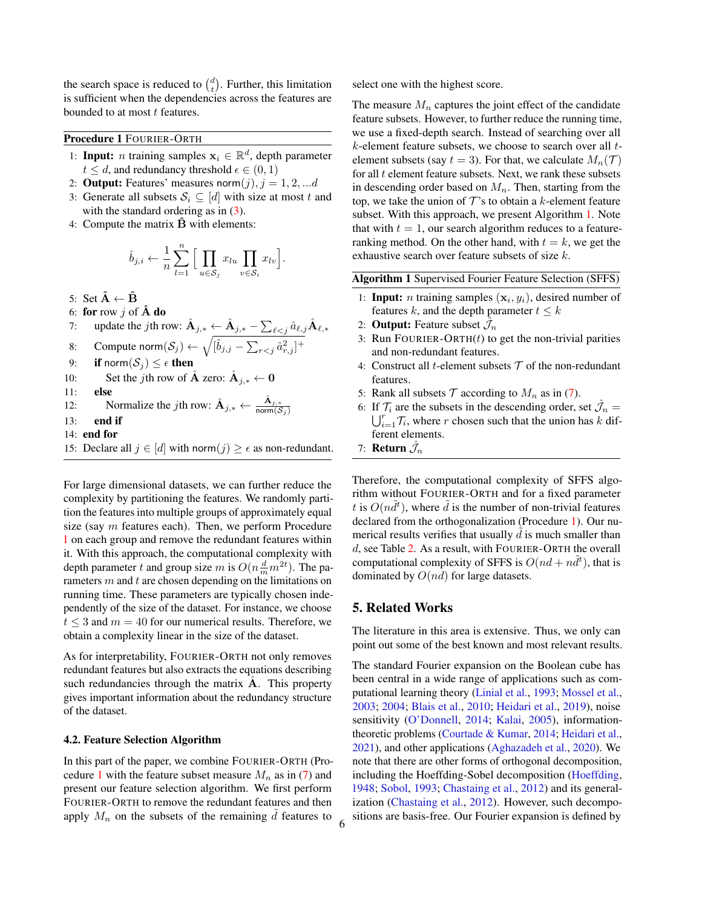the search space is reduced to  $\binom{d}{t}$ . Further, this limitation is sufficient when the dependencies across the features are bounded to at most t features.

<span id="page-5-0"></span>Procedure 1 FOURIER-ORTH

- 1: Input: *n* training samples  $x_i \in \mathbb{R}^d$ , depth parameter  $t \leq d$ , and redundancy threshold  $\epsilon \in (0, 1)$
- 2: **Output:** Features' measures norm $(j)$ ,  $j = 1, 2, \dots d$
- 3: Generate all subsets  $S_i \subseteq [d]$  with size at most t and with the standard ordering as in  $(3)$ .
- 4: Compute the matrix  $\hat{B}$  with elements:

$$
\hat{b}_{j,i} \leftarrow \frac{1}{n} \sum_{l=1}^{n} \Big[ \prod_{u \in \mathcal{S}_j} x_{lu} \prod_{v \in \mathcal{S}_i} x_{lv} \Big].
$$

5: Set  $\hat{\mathbf{A}} \leftarrow \hat{\mathbf{B}}$ 

- 6: for row j of  $\mathbf{\tilde{A}}$  do
- 7: update the *j*th row:  $\hat{\textbf{A}}_{j,*} \leftarrow \hat{\textbf{A}}_{j,*} \sum_{\ell < j} \hat{a}_{\ell,j} \hat{\textbf{A}}_{\ell,*}$
- 8: Compute norm $(\mathcal{S}_j) \leftarrow \sqrt{[\hat{b}_{j,j} \sum_{r < j} \hat{a}_{r,j}^2]^+}$
- 9: if norm $(S_i) \leq \epsilon$  then
- 10: Set the *j*th row of  $\hat{A}$  zero:  $\hat{A}_{j,*} \leftarrow 0$
- 11: else
- 12: Normalize the *j*th row:  $\hat{A}_{j,*} \leftarrow \frac{\hat{A}_{j,*}}{\text{norm}(S)}$ norm $(\mathcal{S}_j)$
- 13: end if
- 14: end for
- 15: Declare all  $j \in [d]$  with norm $(j) \geq \epsilon$  as non-redundant.

For large dimensional datasets, we can further reduce the complexity by partitioning the features. We randomly partition the features into multiple groups of approximately equal size (say  $m$  features each). Then, we perform Procedure [1](#page-5-0) on each group and remove the redundant features within it. With this approach, the computational complexity with depth parameter t and group size m is  $O(n\frac{d}{m}m^{2t})$ . The parameters  $m$  and  $t$  are chosen depending on the limitations on running time. These parameters are typically chosen independently of the size of the dataset. For instance, we choose  $t \leq 3$  and  $m = 40$  for our numerical results. Therefore, we obtain a complexity linear in the size of the dataset.

As for interpretability, FOURIER-ORTH not only removes redundant features but also extracts the equations describing such redundancies through the matrix  $A$ . This property gives important information about the redundancy structure of the dataset.

#### 4.2. Feature Selection Algorithm

In this part of the paper, we combine FOURIER-ORTH (Pro-cedure [1](#page-5-0) with the feature subset measure  $M_n$  as in [\(7\)](#page-4-3) and present our feature selection algorithm. We first perform FOURIER-ORTH to remove the redundant features and then apply  $M_n$  on the subsets of the remaining  $d$  features to select one with the highest score.

The measure  $M_n$  captures the joint effect of the candidate feature subsets. However, to further reduce the running time, we use a fixed-depth search. Instead of searching over all  $k$ -element feature subsets, we choose to search over all  $t$ element subsets (say  $t = 3$ ). For that, we calculate  $M_n(\mathcal{T})$ for all  $t$  element feature subsets. Next, we rank these subsets in descending order based on  $M_n$ . Then, starting from the top, we take the union of  $\mathcal T$ 's to obtain a k-element feature subset. With this approach, we present Algorithm [1.](#page-5-0) Note that with  $t = 1$ , our search algorithm reduces to a featureranking method. On the other hand, with  $t = k$ , we get the exhaustive search over feature subsets of size k.

Algorithm 1 Supervised Fourier Feature Selection (SFFS)

- 1: **Input:** *n* training samples  $(\mathbf{x}_i, y_i)$ , desired number of features k, and the depth parameter  $t \leq k$
- 2: **Output:** Feature subset  $\hat{\mathcal{J}}_n$
- 3: Run FOURIER-ORTH $(t)$  to get the non-trivial parities and non-redundant features.
- 4: Construct all *t*-element subsets  $T$  of the non-redundant features.
- 5: Rank all subsets  $T$  according to  $M_n$  as in [\(7\)](#page-4-3).
- 6: If  $\mathcal{T}_i$  are the subsets in the descending order, set  $\hat{\mathcal{J}}_n =$  $\bigcup_{i=1}^r \mathcal{T}_i$ , where r chosen such that the union has k different elements.
- 7: Return  $\hat{\mathcal{J}}_n$

Therefore, the computational complexity of SFFS algorithm without FOURIER-ORTH and for a fixed parameter t is  $O(n\tilde{d}^t)$ , where  $\tilde{d}$  is the number of non-trivial features declared from the orthogonalization (Procedure [1\)](#page-5-0). Our numerical results verifies that usually  $d$  is much smaller than d, see Table [2.](#page-7-0) As a result, with FOURIER-ORTH the overall computational complexity of SFFS is  $O(nd + n\tilde{d}^t)$ , that is dominated by  $O(nd)$  for large datasets.

### <span id="page-5-1"></span>5. Related Works

The literature in this area is extensive. Thus, we only can point out some of the best known and most relevant results.

The standard Fourier expansion on the Boolean cube has been central in a wide range of applications such as computational learning theory [\(Linial et al.,](#page-9-9) [1993;](#page-9-9) [Mossel et al.,](#page-9-10) [2003;](#page-9-10) [2004;](#page-10-9) [Blais et al.,](#page-9-13) [2010;](#page-9-13) [Heidari et al.,](#page-9-11) [2019\)](#page-9-11), noise sensitivity [\(O'Donnell,](#page-10-6) [2014;](#page-10-6) [Kalai,](#page-9-14) [2005\)](#page-9-14), informationtheoretic problems [\(Courtade & Kumar,](#page-9-15) [2014;](#page-9-15) [Heidari et al.,](#page-9-12) [2021\)](#page-9-12), and other applications [\(Aghazadeh et al.,](#page-8-0) [2020\)](#page-8-0). We note that there are other forms of orthogonal decomposition, including the Hoeffding-Sobel decomposition [\(Hoeffding,](#page-9-16) [1948;](#page-9-16) [Sobol,](#page-10-10) [1993;](#page-10-10) [Chastaing et al.,](#page-9-17) [2012\)](#page-9-17) and its generalization [\(Chastaing et al.,](#page-9-17) [2012\)](#page-9-17). However, such decompositions are basis-free. Our Fourier expansion is defined by  $6$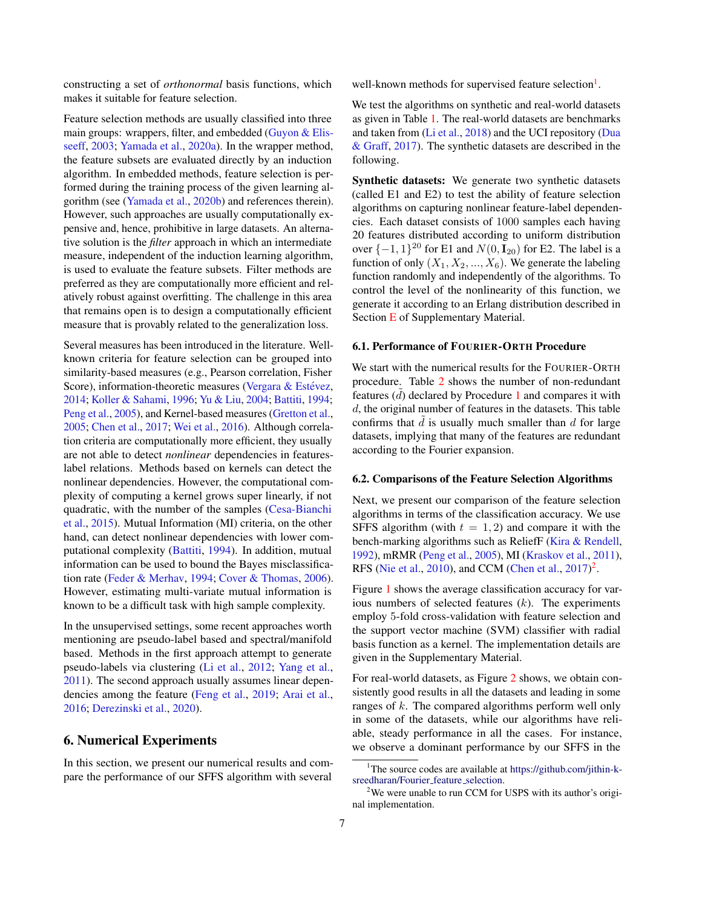constructing a set of *orthonormal* basis functions, which makes it suitable for feature selection.

Feature selection methods are usually classified into three main groups: wrappers, filter, and embedded [\(Guyon & Elis](#page-9-0)[seeff,](#page-9-0) [2003;](#page-9-0) [Yamada et al.,](#page-10-11) [2020a\)](#page-10-11). In the wrapper method, the feature subsets are evaluated directly by an induction algorithm. In embedded methods, feature selection is performed during the training process of the given learning algorithm (see [\(Yamada et al.,](#page-10-5) [2020b\)](#page-10-5) and references therein). However, such approaches are usually computationally expensive and, hence, prohibitive in large datasets. An alternative solution is the *filter* approach in which an intermediate measure, independent of the induction learning algorithm, is used to evaluate the feature subsets. Filter methods are preferred as they are computationally more efficient and relatively robust against overfitting. The challenge in this area that remains open is to design a computationally efficient measure that is provably related to the generalization loss.

Several measures has been introduced in the literature. Wellknown criteria for feature selection can be grouped into similarity-based measures (e.g., Pearson correlation, Fisher Score), information-theoretic measures (Vergara  $&$  Estévez, [2014;](#page-10-2) [Koller & Sahami,](#page-9-5) [1996;](#page-9-5) [Yu & Liu,](#page-10-3) [2004;](#page-10-3) [Battiti,](#page-9-6) [1994;](#page-9-6) [Peng et al.,](#page-10-4) [2005\)](#page-10-4), and Kernel-based measures [\(Gretton et al.,](#page-9-2) [2005;](#page-9-2) [Chen et al.,](#page-9-3) [2017;](#page-9-3) [Wei et al.,](#page-10-1) [2016\)](#page-10-1). Although correlation criteria are computationally more efficient, they usually are not able to detect *nonlinear* dependencies in featureslabel relations. Methods based on kernels can detect the nonlinear dependencies. However, the computational complexity of computing a kernel grows super linearly, if not quadratic, with the number of the samples [\(Cesa-Bianchi](#page-9-4) [et al.,](#page-9-4) [2015\)](#page-9-4). Mutual Information (MI) criteria, on the other hand, can detect nonlinear dependencies with lower computational complexity [\(Battiti,](#page-9-6) [1994\)](#page-9-6). In addition, mutual information can be used to bound the Bayes misclassification rate [\(Feder & Merhav,](#page-9-18) [1994;](#page-9-18) [Cover & Thomas,](#page-9-19) [2006\)](#page-9-19). However, estimating multi-variate mutual information is known to be a difficult task with high sample complexity.

In the unsupervised settings, some recent approaches worth mentioning are pseudo-label based and spectral/manifold based. Methods in the first approach attempt to generate pseudo-labels via clustering [\(Li et al.,](#page-9-20) [2012;](#page-9-20) [Yang et al.,](#page-10-12) [2011\)](#page-10-12). The second approach usually assumes linear dependencies among the feature [\(Feng et al.,](#page-9-21) [2019;](#page-9-21) [Arai et al.,](#page-9-22) [2016;](#page-9-22) [Derezinski et al.,](#page-9-23) [2020\)](#page-9-23).

# <span id="page-6-0"></span>6. Numerical Experiments

In this section, we present our numerical results and compare the performance of our SFFS algorithm with several

well-known methods for supervised feature selection<sup>[1](#page-6-1)</sup>.

We test the algorithms on synthetic and real-world datasets as given in Table [1.](#page-7-1) The real-world datasets are benchmarks and taken from [\(Li et al.,](#page-9-1) [2018\)](#page-9-1) and the UCI repository [\(Dua](#page-9-24) [& Graff,](#page-9-24) [2017\)](#page-9-24). The synthetic datasets are described in the following.

Synthetic datasets: We generate two synthetic datasets (called E1 and E2) to test the ability of feature selection algorithms on capturing nonlinear feature-label dependencies. Each dataset consists of 1000 samples each having 20 features distributed according to uniform distribution over  $\{-1, 1\}^{20}$  for E1 and  $N(0, I_{20})$  for E2. The label is a function of only  $(X_1, X_2, ..., X_6)$ . We generate the labeling function randomly and independently of the algorithms. To control the level of the nonlinearity of this function, we generate it according to an Erlang distribution described in Section [E](#page-5-1) of Supplementary Material.

### 6.1. Performance of FOURIER-ORTH Procedure

We start with the numerical results for the FOURIER-ORTH procedure. Table [2](#page-7-0) shows the number of non-redundant features  $(d)$  declared by Procedure [1](#page-5-0) and compares it with d, the original number of features in the datasets. This table confirms that  $d$  is usually much smaller than  $d$  for large datasets, implying that many of the features are redundant according to the Fourier expansion.

#### 6.2. Comparisons of the Feature Selection Algorithms

Next, we present our comparison of the feature selection algorithms in terms of the classification accuracy. We use SFFS algorithm (with  $t = 1, 2$ ) and compare it with the bench-marking algorithms such as ReliefF [\(Kira & Rendell,](#page-9-8) [1992\)](#page-9-8), mRMR [\(Peng et al.,](#page-10-4) [2005\)](#page-10-4), MI [\(Kraskov et al.,](#page-9-7) [2011\)](#page-9-7), RFS [\(Nie et al.,](#page-10-8) [2010\)](#page-10-8), and CCM [\(Chen et al.,](#page-9-3)  $2017$  $2017$ )<sup>2</sup>.

Figure [1](#page-7-2) shows the average classification accuracy for various numbers of selected features  $(k)$ . The experiments employ 5-fold cross-validation with feature selection and the support vector machine (SVM) classifier with radial basis function as a kernel. The implementation details are given in the Supplementary Material.

For real-world datasets, as Figure [2](#page-7-3) shows, we obtain consistently good results in all the datasets and leading in some ranges of  $k$ . The compared algorithms perform well only in some of the datasets, while our algorithms have reliable, steady performance in all the cases. For instance, we observe a dominant performance by our SFFS in the

<span id="page-6-1"></span><sup>&</sup>lt;sup>1</sup>The source codes are available at [https://github.com/jithin-k](https://github.com/jithin-k-sreedharan/Fourier_feature_selection)[sreedharan/Fourier](https://github.com/jithin-k-sreedharan/Fourier_feature_selection)\_feature\_selection.

<span id="page-6-2"></span> $2$ We were unable to run CCM for USPS with its author's original implementation.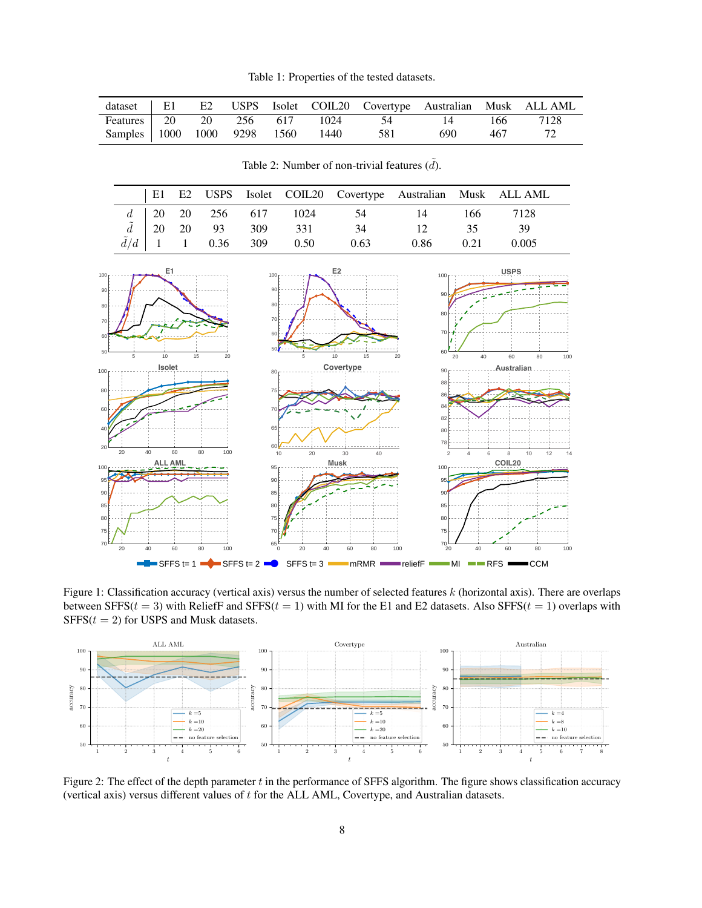Table 1: Properties of the tested datasets.

<span id="page-7-1"></span>

|  |  |                                      |                                |       |      | dataset   E1 E2 USPS Isolet COIL20 Covertype Australian Musk ALLAML |
|--|--|--------------------------------------|--------------------------------|-------|------|---------------------------------------------------------------------|
|  |  |                                      | Features 20 20 256 617 1024 54 | 14    | 166  | 7128                                                                |
|  |  | Samples 1000 1000 9298 1560 1440 581 |                                | 690 — | -467 |                                                                     |

<span id="page-7-2"></span><span id="page-7-0"></span>E1 E2 USPS Isolet COIL20 Covertype Australian Musk ALL AML  $d \begin{array}{|l} \n\begin{array}{ccc|c} \n\end{array} & 20 & 256 & 617 & 1024 & 54 & 14 & 166 & 7128\n\end{array}$  $\tilde{d}$  20 20 93 309 331 34 12 35 39  $\tilde{d}/d$  1 1 0.36 309 0.50 0.63 0.86 0.21 0.005 <sup>100</sup> **USPS** 100 **r** - *r* - *r* - *e* **1** 100 **F2** E2 90 90  $90<sub>1</sub>$ 80 80  $80 - -$ 70 70 **-** - - -70 <del>|</del> + 60  $60F$ 60 50*€* – – 50 5 10 15 20 5 10 15 20 20 40 60 80 100 <sup>100</sup> **Isolet** <sup>80</sup> **Covertype** 90 **FILLION Australian** 88  $75 - 1$ 80 86 F 84  $70 \times T$ 60  $+ 1$  $\lambda$ 82 ⊦--- $65 - 40'$ /--80 78 60 20 20 40 60 80 100 10 20 30 40 2 4 6 8 10 12 14 <sup>100</sup> **ALL AML** <sup>100</sup> **COIL20** <sup>95</sup> **Musk** 90 95  $95 \blacktriangleright$ 85 90 90 <del>[/</del> - -85 80 85 80 75 80 75 70 75 65 70 70 └── 20 40 60 80 100 0 20 40 60 80 100 20 40 60 80 100  $\blacksquare$  SFFS t= 1  $\blacksquare$  SFFS t= 2  $\blacksquare$  SFFS t= 3  $\blacksquare$  mRMR  $\blacksquare$  reliefF  $\blacksquare$  MI  $\blacksquare$  RFS  $\blacksquare$  CCM

Table 2: Number of non-trivial features  $(\tilde{d})$ .

Figure 1: Classification accuracy (vertical axis) versus the number of selected features  $k$  (horizontal axis). There are overlaps between SFFS( $t = 3$ ) with ReliefF and SFFS( $t = 1$ ) with MI for the E1 and E2 datasets. Also SFFS( $t = 1$ ) overlaps with  $SFFS(t = 2)$  for USPS and Musk datasets.

<span id="page-7-3"></span>

Figure 2: The effect of the depth parameter  $t$  in the performance of SFFS algorithm. The figure shows classification accuracy (vertical axis) versus different values of t for the ALL AML, Covertype, and Australian datasets.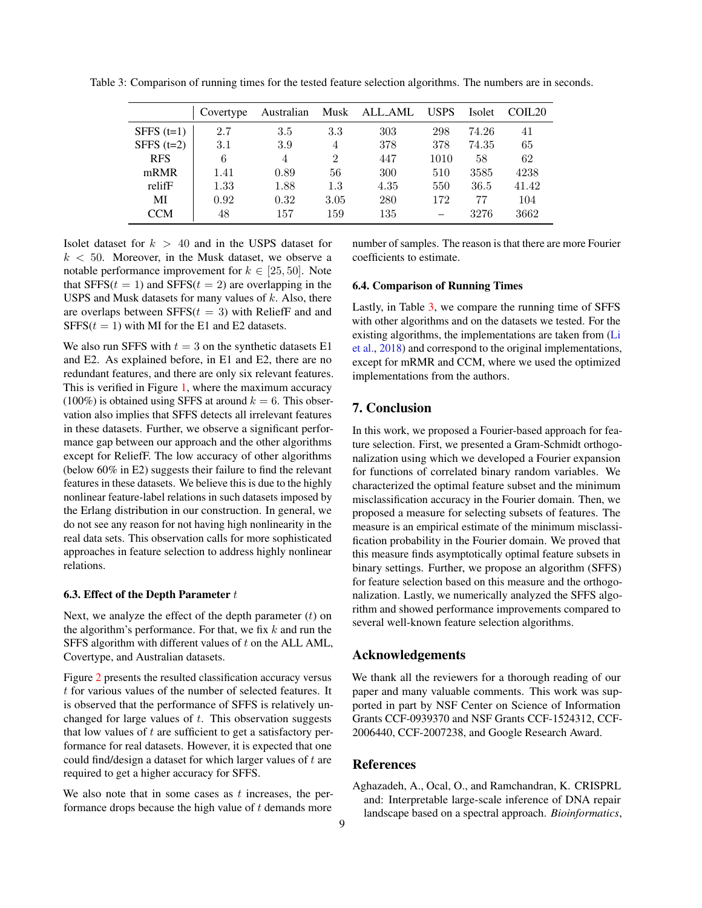<span id="page-8-1"></span>Table 3: Comparison of running times for the tested feature selection algorithms. The numbers are in seconds.

|              | Covertype | Australian     | Musk           | ALL_AML | <b>USPS</b> | Isolet | COIL <sub>20</sub> |
|--------------|-----------|----------------|----------------|---------|-------------|--------|--------------------|
| SFFS $(t=1)$ | 2.7       | 3.5            | 3.3            | 303     | 298         | 74.26  | 41                 |
| SFFS $(t=2)$ | 3.1       | 3.9            | $\overline{4}$ | 378     | 378         | 74.35  | 65                 |
| <b>RFS</b>   | 6         | $\overline{4}$ | $\overline{2}$ | 447     | 1010        | 58     | 62                 |
| mRMR         | 1.41      | 0.89           | 56             | 300     | 510         | 3585   | 4238               |
| relifF       | 1.33      | 1.88           | 1.3            | 4.35    | 550         | 36.5   | 41.42              |
| MI           | 0.92      | 0.32           | 3.05           | 280     | 172         | 77     | 104                |
| <b>CCM</b>   | 48        | 157            | 159            | 135     |             | 3276   | 3662               |

Isolet dataset for  $k > 40$  and in the USPS dataset for  $k < 50$ . Moreover, in the Musk dataset, we observe a notable performance improvement for  $k \in [25, 50]$ . Note that  $SFFS(t = 1)$  and  $SFFS(t = 2)$  are overlapping in the USPS and Musk datasets for many values of  $k$ . Also, there are overlaps between  $SFFS(t = 3)$  with ReliefF and and SFFS( $t = 1$ ) with MI for the E1 and E2 datasets.

We also run SFFS with  $t = 3$  on the synthetic datasets E1 and E2. As explained before, in E1 and E2, there are no redundant features, and there are only six relevant features. This is verified in Figure [1,](#page-7-2) where the maximum accuracy (100%) is obtained using SFFS at around  $k = 6$ . This observation also implies that SFFS detects all irrelevant features in these datasets. Further, we observe a significant performance gap between our approach and the other algorithms except for ReliefF. The low accuracy of other algorithms (below 60% in E2) suggests their failure to find the relevant features in these datasets. We believe this is due to the highly nonlinear feature-label relations in such datasets imposed by the Erlang distribution in our construction. In general, we do not see any reason for not having high nonlinearity in the real data sets. This observation calls for more sophisticated approaches in feature selection to address highly nonlinear relations.

#### 6.3. Effect of the Depth Parameter  $t$

Next, we analyze the effect of the depth parameter  $(t)$  on the algorithm's performance. For that, we fix  $k$  and run the SFFS algorithm with different values of t on the ALL AML, Covertype, and Australian datasets.

Figure [2](#page-7-3) presents the resulted classification accuracy versus t for various values of the number of selected features. It is observed that the performance of SFFS is relatively unchanged for large values of  $t$ . This observation suggests that low values of  $t$  are sufficient to get a satisfactory performance for real datasets. However, it is expected that one could find/design a dataset for which larger values of t are required to get a higher accuracy for SFFS.

We also note that in some cases as  $t$  increases, the performance drops because the high value of  $t$  demands more

number of samples. The reason is that there are more Fourier coefficients to estimate.

#### 6.4. Comparison of Running Times

Lastly, in Table [3,](#page-8-1) we compare the running time of SFFS with other algorithms and on the datasets we tested. For the existing algorithms, the implementations are taken from [\(Li](#page-9-1) [et al.,](#page-9-1) [2018\)](#page-9-1) and correspond to the original implementations, except for mRMR and CCM, where we used the optimized implementations from the authors.

# 7. Conclusion

In this work, we proposed a Fourier-based approach for feature selection. First, we presented a Gram-Schmidt orthogonalization using which we developed a Fourier expansion for functions of correlated binary random variables. We characterized the optimal feature subset and the minimum misclassification accuracy in the Fourier domain. Then, we proposed a measure for selecting subsets of features. The measure is an empirical estimate of the minimum misclassification probability in the Fourier domain. We proved that this measure finds asymptotically optimal feature subsets in binary settings. Further, we propose an algorithm (SFFS) for feature selection based on this measure and the orthogonalization. Lastly, we numerically analyzed the SFFS algorithm and showed performance improvements compared to several well-known feature selection algorithms.

# Acknowledgements

We thank all the reviewers for a thorough reading of our paper and many valuable comments. This work was supported in part by NSF Center on Science of Information Grants CCF-0939370 and NSF Grants CCF-1524312, CCF-2006440, CCF-2007238, and Google Research Award.

### References

<span id="page-8-0"></span>Aghazadeh, A., Ocal, O., and Ramchandran, K. CRISPRL and: Interpretable large-scale inference of DNA repair landscape based on a spectral approach. *Bioinformatics*,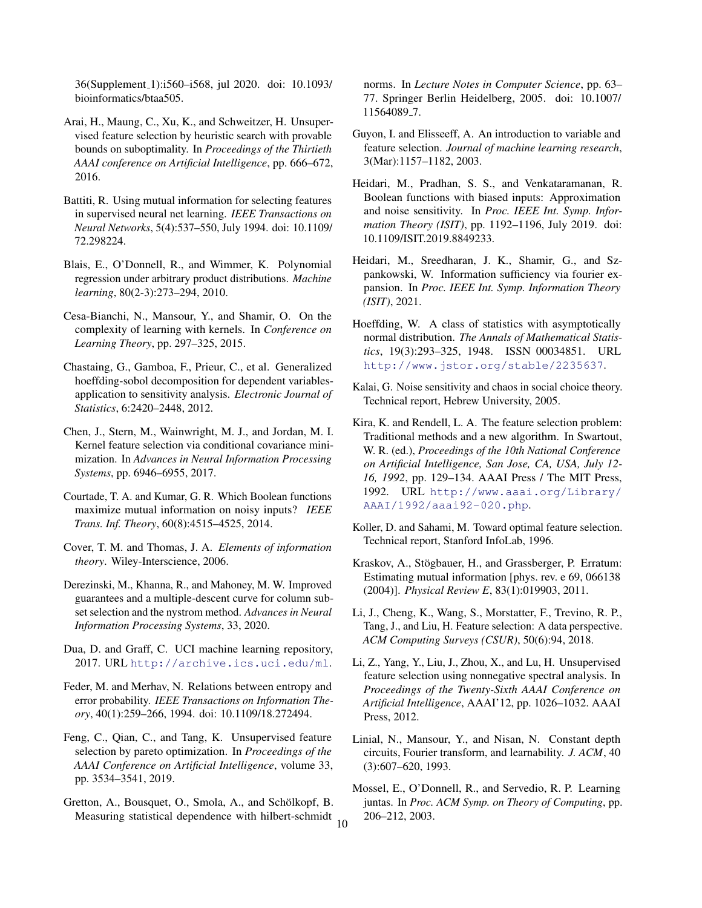36(Supplement 1):i560–i568, jul 2020. doi: 10.1093/ bioinformatics/btaa505.

- <span id="page-9-22"></span>Arai, H., Maung, C., Xu, K., and Schweitzer, H. Unsupervised feature selection by heuristic search with provable bounds on suboptimality. In *Proceedings of the Thirtieth AAAI conference on Artificial Intelligence*, pp. 666–672, 2016.
- <span id="page-9-6"></span>Battiti, R. Using mutual information for selecting features in supervised neural net learning. *IEEE Transactions on Neural Networks*, 5(4):537–550, July 1994. doi: 10.1109/ 72.298224.
- <span id="page-9-13"></span>Blais, E., O'Donnell, R., and Wimmer, K. Polynomial regression under arbitrary product distributions. *Machine learning*, 80(2-3):273–294, 2010.
- <span id="page-9-4"></span>Cesa-Bianchi, N., Mansour, Y., and Shamir, O. On the complexity of learning with kernels. In *Conference on Learning Theory*, pp. 297–325, 2015.
- <span id="page-9-17"></span>Chastaing, G., Gamboa, F., Prieur, C., et al. Generalized hoeffding-sobol decomposition for dependent variablesapplication to sensitivity analysis. *Electronic Journal of Statistics*, 6:2420–2448, 2012.
- <span id="page-9-3"></span>Chen, J., Stern, M., Wainwright, M. J., and Jordan, M. I. Kernel feature selection via conditional covariance minimization. In *Advances in Neural Information Processing Systems*, pp. 6946–6955, 2017.
- <span id="page-9-15"></span>Courtade, T. A. and Kumar, G. R. Which Boolean functions maximize mutual information on noisy inputs? *IEEE Trans. Inf. Theory*, 60(8):4515–4525, 2014.
- <span id="page-9-19"></span>Cover, T. M. and Thomas, J. A. *Elements of information theory*. Wiley-Interscience, 2006.
- <span id="page-9-23"></span>Derezinski, M., Khanna, R., and Mahoney, M. W. Improved guarantees and a multiple-descent curve for column subset selection and the nystrom method. *Advances in Neural Information Processing Systems*, 33, 2020.
- <span id="page-9-24"></span>Dua, D. and Graff, C. UCI machine learning repository, 2017. URL <http://archive.ics.uci.edu/ml>.
- <span id="page-9-18"></span>Feder, M. and Merhav, N. Relations between entropy and error probability. *IEEE Transactions on Information Theory*, 40(1):259–266, 1994. doi: 10.1109/18.272494.
- <span id="page-9-21"></span>Feng, C., Qian, C., and Tang, K. Unsupervised feature selection by pareto optimization. In *Proceedings of the AAAI Conference on Artificial Intelligence*, volume 33, pp. 3534–3541, 2019.
- <span id="page-9-2"></span>Gretton, A., Bousquet, O., Smola, A., and Schölkopf, B. Measuring statistical dependence with hilbert-schmidt 10

norms. In *Lecture Notes in Computer Science*, pp. 63– 77. Springer Berlin Heidelberg, 2005. doi: 10.1007/ 11564089 7.

- <span id="page-9-0"></span>Guyon, I. and Elisseeff, A. An introduction to variable and feature selection. *Journal of machine learning research*, 3(Mar):1157–1182, 2003.
- <span id="page-9-11"></span>Heidari, M., Pradhan, S. S., and Venkataramanan, R. Boolean functions with biased inputs: Approximation and noise sensitivity. In *Proc. IEEE Int. Symp. Information Theory (ISIT)*, pp. 1192–1196, July 2019. doi: 10.1109/ISIT.2019.8849233.
- <span id="page-9-12"></span>Heidari, M., Sreedharan, J. K., Shamir, G., and Szpankowski, W. Information sufficiency via fourier expansion. In *Proc. IEEE Int. Symp. Information Theory (ISIT)*, 2021.
- <span id="page-9-16"></span>Hoeffding, W. A class of statistics with asymptotically normal distribution. *The Annals of Mathematical Statistics*, 19(3):293–325, 1948. ISSN 00034851. URL <http://www.jstor.org/stable/2235637>.
- <span id="page-9-14"></span>Kalai, G. Noise sensitivity and chaos in social choice theory. Technical report, Hebrew University, 2005.
- <span id="page-9-8"></span>Kira, K. and Rendell, L. A. The feature selection problem: Traditional methods and a new algorithm. In Swartout, W. R. (ed.), *Proceedings of the 10th National Conference on Artificial Intelligence, San Jose, CA, USA, July 12- 16, 1992*, pp. 129–134. AAAI Press / The MIT Press, 1992. URL [http://www.aaai.org/Library/](http://www.aaai.org/Library/AAAI/1992/aaai92-020.php) [AAAI/1992/aaai92-020.php](http://www.aaai.org/Library/AAAI/1992/aaai92-020.php).
- <span id="page-9-5"></span>Koller, D. and Sahami, M. Toward optimal feature selection. Technical report, Stanford InfoLab, 1996.
- <span id="page-9-7"></span>Kraskov, A., Stögbauer, H., and Grassberger, P. Erratum: Estimating mutual information [phys. rev. e 69, 066138 (2004)]. *Physical Review E*, 83(1):019903, 2011.
- <span id="page-9-1"></span>Li, J., Cheng, K., Wang, S., Morstatter, F., Trevino, R. P., Tang, J., and Liu, H. Feature selection: A data perspective. *ACM Computing Surveys (CSUR)*, 50(6):94, 2018.
- <span id="page-9-20"></span>Li, Z., Yang, Y., Liu, J., Zhou, X., and Lu, H. Unsupervised feature selection using nonnegative spectral analysis. In *Proceedings of the Twenty-Sixth AAAI Conference on Artificial Intelligence*, AAAI'12, pp. 1026–1032. AAAI Press, 2012.
- <span id="page-9-9"></span>Linial, N., Mansour, Y., and Nisan, N. Constant depth circuits, Fourier transform, and learnability. *J. ACM*, 40 (3):607–620, 1993.
- <span id="page-9-10"></span>Mossel, E., O'Donnell, R., and Servedio, R. P. Learning juntas. In *Proc. ACM Symp. on Theory of Computing*, pp. 206–212, 2003.